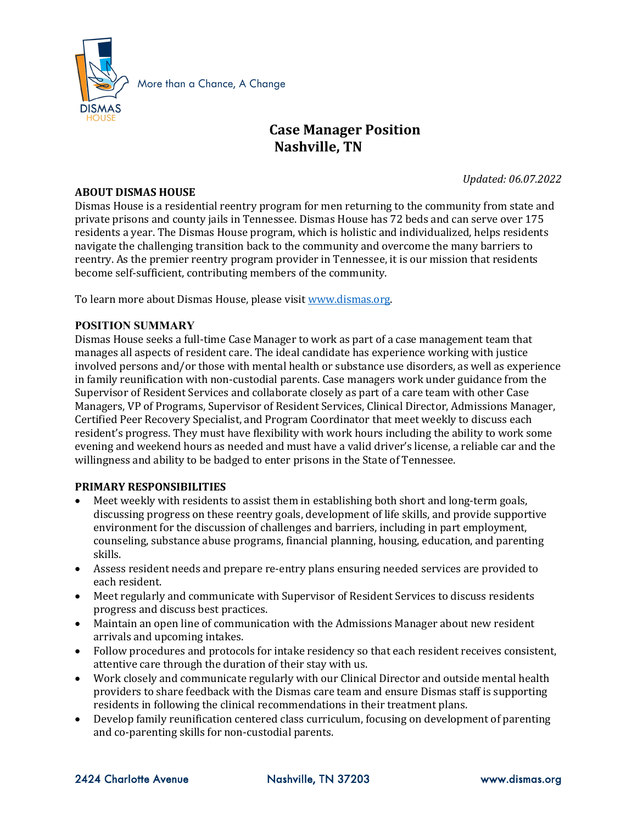

# **Case Manager Position Nashville, TN**

*Updated: 06.07.2022*

#### **ABOUT DISMAS HOUSE**

Dismas House is a residential reentry program for men returning to the community from state and private prisons and county jails in Tennessee. Dismas House has 72 beds and can serve over 175 residents a year. The Dismas House program, which is holistic and individualized, helps residents navigate the challenging transition back to the community and overcome the many barriers to reentry. As the premier reentry program provider in Tennessee, it is our mission that residents become self-sufficient, contributing members of the community.

To learn more about Dismas House, please visi[t www.dismas.org.](http://www.dismas.org/) 

#### **POSITION SUMMARY**

Dismas House seeks a full-time Case Manager to work as part of a case management team that manages all aspects of resident care. The ideal candidate has experience working with justice involved persons and/or those with mental health or substance use disorders, as well as experience in family reunification with non-custodial parents. Case managers work under guidance from the Supervisor of Resident Services and collaborate closely as part of a care team with other Case Managers, VP of Programs, Supervisor of Resident Services, Clinical Director, Admissions Manager, Certified Peer Recovery Specialist, and Program Coordinator that meet weekly to discuss each resident's progress. They must have flexibility with work hours including the ability to work some evening and weekend hours as needed and must have a valid driver's license, a reliable car and the willingness and ability to be badged to enter prisons in the State of Tennessee.

#### **PRIMARY RESPONSIBILITIES**

- Meet weekly with residents to assist them in establishing both short and long-term goals, discussing progress on these reentry goals, development of life skills, and provide supportive environment for the discussion of challenges and barriers, including in part employment, counseling, substance abuse programs, financial planning, housing, education, and parenting skills.
- Assess resident needs and prepare re-entry plans ensuring needed services are provided to each resident.
- Meet regularly and communicate with Supervisor of Resident Services to discuss residents progress and discuss best practices.
- Maintain an open line of communication with the Admissions Manager about new resident arrivals and upcoming intakes.
- Follow procedures and protocols for intake residency so that each resident receives consistent, attentive care through the duration of their stay with us.
- Work closely and communicate regularly with our Clinical Director and outside mental health providers to share feedback with the Dismas care team and ensure Dismas staff is supporting residents in following the clinical recommendations in their treatment plans.
- Develop family reunification centered class curriculum, focusing on development of parenting and co-parenting skills for non-custodial parents.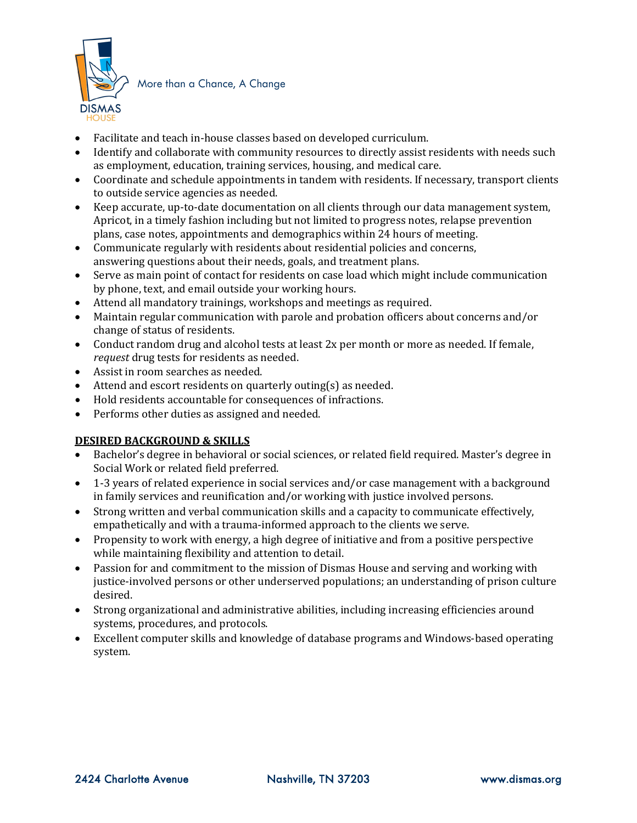

More than a Chance, A Change

- Facilitate and teach in-house classes based on developed curriculum.
- Identify and collaborate with community resources to directly assist residents with needs such as employment, education, training services, housing, and medical care.
- Coordinate and schedule appointments in tandem with residents. If necessary, transport clients to outside service agencies as needed.
- Keep accurate, up-to-date documentation on all clients through our data management system, Apricot, in a timely fashion including but not limited to progress notes, relapse prevention plans, case notes, appointments and demographics within 24 hours of meeting.
- Communicate regularly with residents about residential policies and concerns, answering questions about their needs, goals, and treatment plans.
- Serve as main point of contact for residents on case load which might include communication by phone, text, and email outside your working hours.
- Attend all mandatory trainings, workshops and meetings as required.
- Maintain regular communication with parole and probation officers about concerns and/or change of status of residents.
- Conduct random drug and alcohol tests at least 2x per month or more as needed. If female, *request* drug tests for residents as needed.
- Assist in room searches as needed.
- Attend and escort residents on quarterly outing(s) as needed.
- Hold residents accountable for consequences of infractions.
- Performs other duties as assigned and needed.

### **DESIRED BACKGROUND & SKILLS**

- Bachelor's degree in behavioral or social sciences, or related field required. Master's degree in Social Work or related field preferred.
- 1-3 years of related experience in social services and/or case management with a background in family services and reunification and/or working with justice involved persons.
- Strong written and verbal communication skills and a capacity to communicate effectively, empathetically and with a trauma-informed approach to the clients we serve.
- Propensity to work with energy, a high degree of initiative and from a positive perspective while maintaining flexibility and attention to detail.
- Passion for and commitment to the mission of Dismas House and serving and working with justice-involved persons or other underserved populations; an understanding of prison culture desired.
- Strong organizational and administrative abilities, including increasing efficiencies around systems, procedures, and protocols.
- Excellent computer skills and knowledge of database programs and Windows-based operating system.